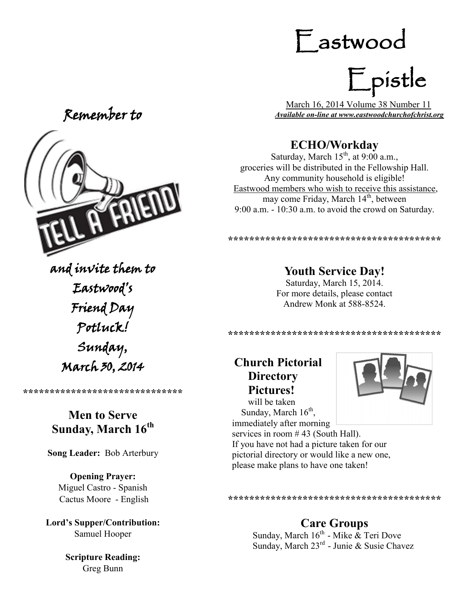# Remember to



and invite them to Eastwood's Friend Day Potluck! Sunday, March 30, 2014

**\*\*\*\*\*\*\*\*\*\*\*\*\*\*\*\*\*\*\*\*\*\*\*\*\*\*\*\*\*\***

#### **Men to Serve Sunday, March 16th**

**Song Leader:** Bob Arterbury

**Opening Prayer:** Miguel Castro - Spanish Cactus Moore - English

**Lord's Supper/Contribution:**  Samuel Hooper

> **Scripture Reading:**  Greg Bunn

# Eastwood

Epistle

 March 16, 2014 Volume 38 Number 11 *Available on-line at www.eastwoodchurchofchrist.org*

## **ECHO/Workday**

Saturday, March  $15<sup>th</sup>$ , at 9:00 a.m., groceries will be distributed in the Fellowship Hall. Any community household is eligible! Eastwood members who wish to receive this assistance, may come Friday, March  $14<sup>th</sup>$ , between 9:00 a.m. - 10:30 a.m. to avoid the crowd on Saturday.

\*\*\*\*\*\*\*\*\*\*\*\*\*\*\*\*\*\*\*\*\*\*\*\*\*\*\*\*\*\*\*\*\*\*\*\*\*

#### **Youth Service Day!**

Saturday, March 15, 2014. For more details, please contact Andrew Monk at 588-8524.

**\*\*\*\*\*\*\*\*\*\*\*\*\*\*\*\*\*\*\*\*\*\*\*\*\*\*\*\*\*\*\*\*\*\*\*\*\*\*\*\***

# **Church Pictorial Directory Pictures!**



 will be taken Sunday, March  $16<sup>th</sup>$ , immediately after morning services in room #43 (South Hall). If you have not had a picture taken for our pictorial directory or would like a new one, please make plans to have one taken!

**\*\*\*\*\*\*\*\*\*\*\*\*\*\*\*\*\*\*\*\*\*\*\*\*\*\*\*\*\*\*\*\*\*\*\*\*\*\*\*\***

# **Care Groups**

Sunday, March  $16^{th}$  - Mike  $\&$  Teri Dove Sunday, March 23<sup>rd</sup> - Junie & Susie Chavez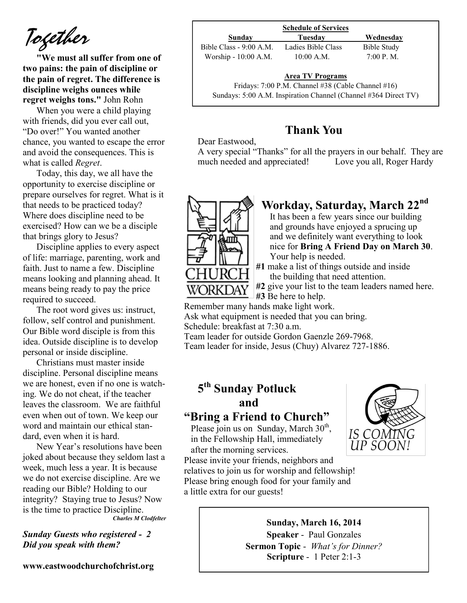*Together*

**"We must all suffer from one of two pains: the pain of discipline or the pain of regret. The difference is discipline weighs ounces while regret weighs tons."** John Rohn

When you were a child playing with friends, did you ever call out, "Do over!" You wanted another chance, you wanted to escape the error and avoid the consequences. This is what is called *Regret*.

Today, this day, we all have the opportunity to exercise discipline or prepare ourselves for regret. What is it that needs to be practiced today? Where does discipline need to be exercised? How can we be a disciple that brings glory to Jesus?

Discipline applies to every aspect of life: marriage, parenting, work and faith. Just to name a few. Discipline means looking and planning ahead. It means being ready to pay the price required to succeed.

The root word gives us: instruct, follow, self control and punishment. Our Bible word disciple is from this idea. Outside discipline is to develop personal or inside discipline.

Christians must master inside discipline. Personal discipline means we are honest, even if no one is watching. We do not cheat, if the teacher leaves the classroom. We are faithful even when out of town. We keep our word and maintain our ethical standard, even when it is hard.

New Year's resolutions have been joked about because they seldom last a week, much less a year. It is because we do not exercise discipline. Are we reading our Bible? Holding to our integrity? Staying true to Jesus? Now is the time to practice Discipline. *Charles M Clodfelter*

*Sunday Guests who registered - 2 Did you speak with them?*

**www.eastwoodchurchofchrist.org**

|                          | <b>Schedule of Services</b> |             |
|--------------------------|-----------------------------|-------------|
| Sunday                   | Tuesday                     | Wednesday   |
| Bible Class $-9:00$ A.M. | Ladies Bible Class          | Bible Study |
| Worship - 10:00 A.M.     | $10:00$ A.M.                | 7.00 P M    |

**Area TV Programs**

Area TV Programs<br>Fridays: 7:00 P.M. Channel #38 (Cable Channel #16) Sundays: 5:00 A.M. Inspiration Channel (Channel #364 Direct TV)

#### **Thank You**

Dear Eastwood,

A very special "Thanks" for all the prayers in our behalf. They are much needed and appreciated! Love you all, Roger Hardy



# **Workday, Saturday, March 22nd**

It has been a few years since our building and grounds have enjoyed a sprucing up and we definitely want everything to look nice for **Bring A Friend Day on March 30**. Your help is needed.

**#1** make a list of things outside and inside the building that need attention.

**#2** give your list to the team leaders named here. **#3** Be here to help.

Remember many hands make light work. Ask what equipment is needed that you can bring. Schedule: breakfast at 7:30 a.m.

Team leader for outside Gordon Gaenzle 269-7968.

Team leader for inside, Jesus (Chuy) Alvarez 727-1886.

# **5 th Sunday Potluck and**

#### **"Bring a Friend to Church"**

Please join us on Sunday, March 30<sup>th</sup>, in the Fellowship Hall, immediately after the morning services.



Please invite your friends, neighbors and relatives to join us for worship and fellowship! Please bring enough food for your family and a little extra for our guests!

#### **Sunday, March 16, 2014**

**Speaker** - Paul Gonzales **Sermon Topic** - *What's for Dinner?*  **Scripture** - 1 Peter 2:1-3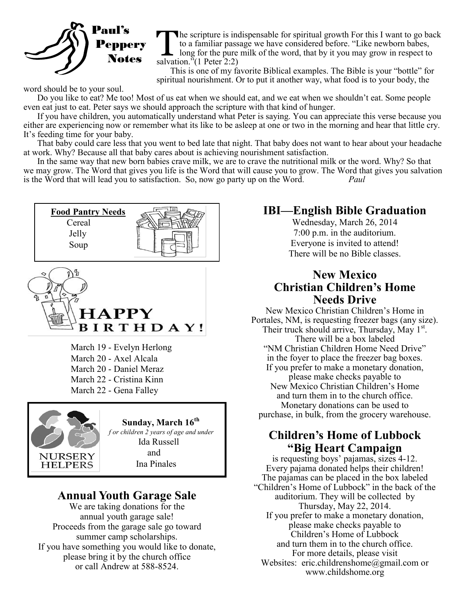

The scripture is in<br>to a familiar pass<br>long for the pure<br>salvation."(1 Peter 2:2) he scripture is indispensable for spiritual growth For this I want to go back to a familiar passage we have considered before. "Like newborn babes, long for the pure milk of the word, that by it you may grow in respect to

This is one of my favorite Biblical examples. The Bible is your "bottle" for spiritual nourishment. Or to put it another way, what food is to your body, the

word should be to your soul.

Do you like to eat? Me too! Most of us eat when we should eat, and we eat when we shouldn't eat. Some people even eat just to eat. Peter says we should approach the scripture with that kind of hunger.

If you have children, you automatically understand what Peter is saying. You can appreciate this verse because you either are experiencing now or remember what its like to be asleep at one or two in the morning and hear that little cry. It's feeding time for your baby.

That baby could care less that you went to bed late that night. That baby does not want to hear about your headache at work. Why? Because all that baby cares about is achieving nourishment satisfaction.

In the same way that new born babies crave milk, we are to crave the nutritional milk or the word. Why? So that we may grow. The Word that gives you life is the Word that will cause you to grow. The Word that gives you salvation is the Word that will lead you to satisfaction. So, now go party up on the Word*. Paul* 





March 19 - Evelyn Herlong March 20 - Axel Alcala March 20 - Daniel Meraz March 22 - Cristina Kinn March 22 - Gena Falley



 **Sunday, March 16th**

*f or children 2 years of age and under*  Ida Russell and Ina Pinales

#### **Annual Youth Garage Sale**

We are taking donations for the annual youth garage sale! Proceeds from the garage sale go toward summer camp scholarships. If you have something you would like to donate, please bring it by the church office or call Andrew at 588-8524.

### **IBI—English Bible Graduation**

Wednesday, March 26, 2014 7:00 p.m. in the auditorium. Everyone is invited to attend! There will be no Bible classes.

#### **New Mexico Christian Children's Home Needs Drive**

New Mexico Christian Children's Home in Portales, NM, is requesting freezer bags (any size). Their truck should arrive, Thursday, May  $1^{st}$ . There will be a box labeled "NM Christian Children Home Need Drive" in the foyer to place the freezer bag boxes. If you prefer to make a monetary donation, please make checks payable to New Mexico Christian Children's Home and turn them in to the church office. Monetary donations can be used to purchase, in bulk, from the grocery warehouse.

#### **Children's Home of Lubbock "Big Heart Campaign**

is requesting boys' pajamas, sizes 4-12. Every pajama donated helps their children! The pajamas can be placed in the box labeled "Children's Home of Lubbock" in the back of the auditorium. They will be collected by Thursday, May 22, 2014. If you prefer to make a monetary donation, please make checks payable to Children's Home of Lubbock and turn them in to the church office. For more details, please visit Websites: eric.childrenshome@gmail.com or www.childshome.org